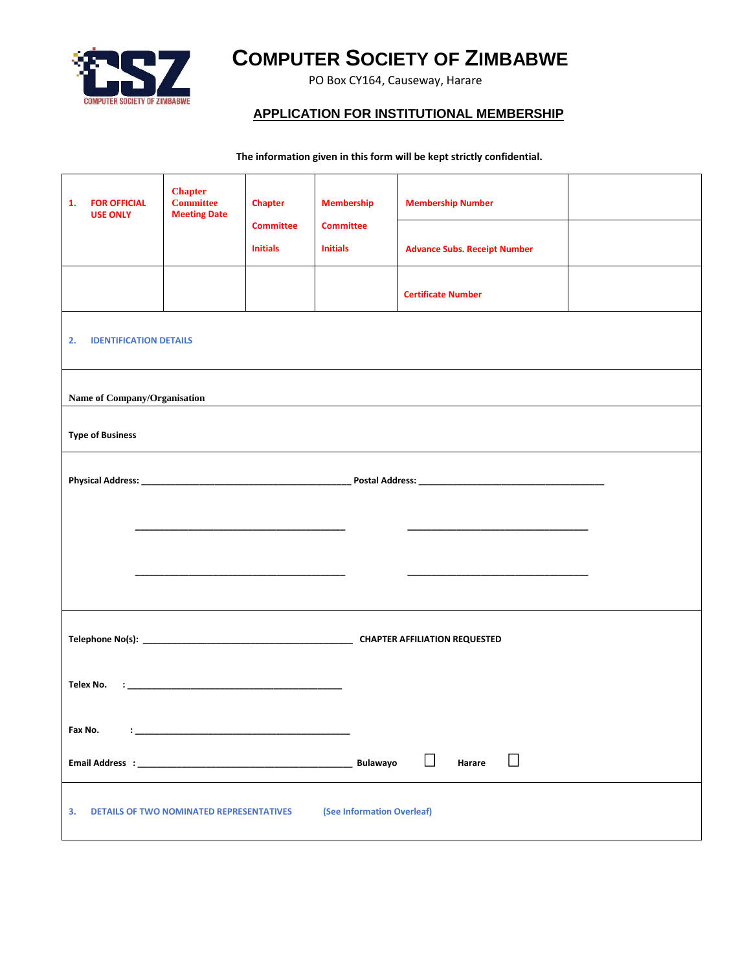

## **COMPUTER SOCIETY OF ZIMBABWE**

PO Box CY164, Causeway, Harare

## **APPLICATION FOR INSTITUTIONAL MEMBERSHIP**

 **The information given in this form will be kept strictly confidential.**

| <b>FOR OFFICIAL</b><br>1.<br><b>USE ONLY</b>                                        | <b>Chapter</b><br><b>Committee</b><br><b>Meeting Date</b> | Chapter<br><b>Committee</b> | <b>Membership</b><br><b>Committee</b> | <b>Membership Number</b>            |  |  |
|-------------------------------------------------------------------------------------|-----------------------------------------------------------|-----------------------------|---------------------------------------|-------------------------------------|--|--|
|                                                                                     |                                                           | <b>Initials</b>             | <b>Initials</b>                       | <b>Advance Subs. Receipt Number</b> |  |  |
|                                                                                     |                                                           |                             |                                       | <b>Certificate Number</b>           |  |  |
| <b>IDENTIFICATION DETAILS</b><br>2.                                                 |                                                           |                             |                                       |                                     |  |  |
| Name of Company/Organisation                                                        |                                                           |                             |                                       |                                     |  |  |
| <b>Type of Business</b>                                                             |                                                           |                             |                                       |                                     |  |  |
|                                                                                     |                                                           |                             |                                       |                                     |  |  |
|                                                                                     |                                                           |                             |                                       |                                     |  |  |
|                                                                                     |                                                           |                             |                                       |                                     |  |  |
|                                                                                     |                                                           |                             |                                       |                                     |  |  |
|                                                                                     |                                                           |                             |                                       |                                     |  |  |
|                                                                                     |                                                           |                             |                                       |                                     |  |  |
| Fax No.                                                                             |                                                           |                             |                                       |                                     |  |  |
|                                                                                     |                                                           |                             | <b>Bulawayo</b>                       | П<br>Harare                         |  |  |
| (See Information Overleaf)<br>З.<br><b>DETAILS OF TWO NOMINATED REPRESENTATIVES</b> |                                                           |                             |                                       |                                     |  |  |